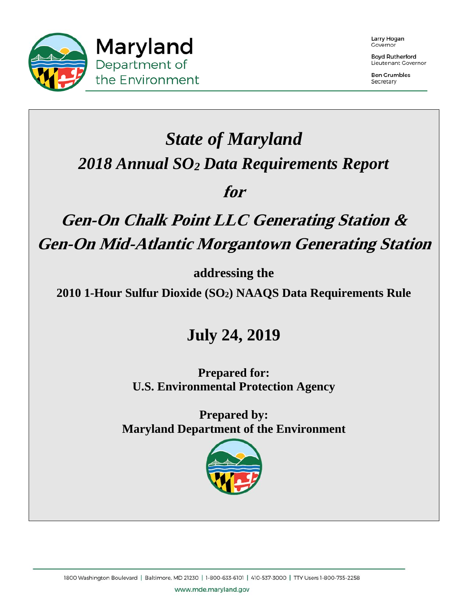

Larry Hogan Governor

**Boyd Rutherford** Lieutenant Governor

**Ben Grumbles** Secretary

# *State of Maryland 2018 Annual SO2 Data Requirements Report*

### **for**

# **Gen-On Chalk Point LLC Generating Station & Gen-On Mid-Atlantic Morgantown Generating Station**

**addressing the** 

**2010 1-Hour Sulfur Dioxide (SO2) NAAQS Data Requirements Rule** 

# **July 24, 2019**

**Prepared for: U.S. Environmental Protection Agency** 

**Prepared by: Maryland Department of the Environment** 



www.mde.maryland.gov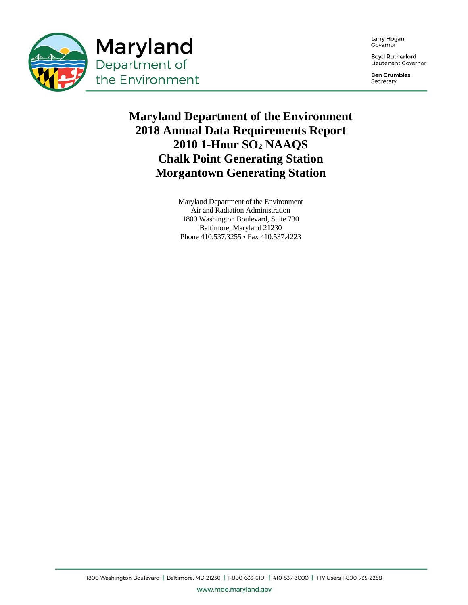

Larry Hogan Governor

**Boyd Rutherford** Lieutenant Governor

**Ben Grumbles** Secretary

#### **Maryland Department of the Environment 2018 Annual Data Requirements Report 2010 1-Hour SO2 NAAQS Chalk Point Generating Station Morgantown Generating Station**

Maryland Department of the Environment Air and Radiation Administration 1800 Washington Boulevard, Suite 730 Baltimore, Maryland 21230 Phone 410.537.3255 • Fax 410.537.4223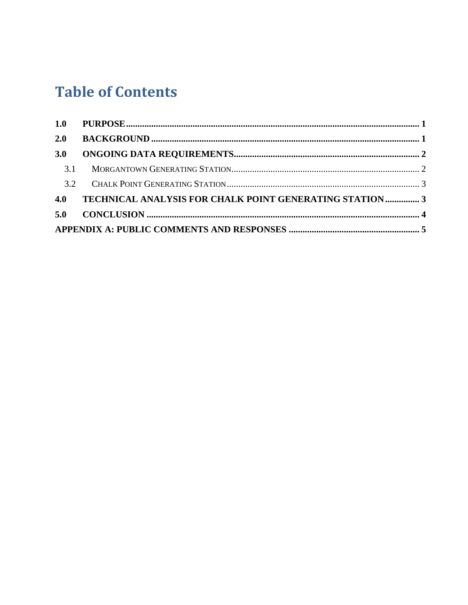## **Table of Contents**

| 2.0 |                                                         |  |
|-----|---------------------------------------------------------|--|
| 3.0 |                                                         |  |
| 3.1 |                                                         |  |
|     |                                                         |  |
| 4.0 | TECHNICAL ANALYSIS FOR CHALK POINT GENERATING STATION 3 |  |
|     |                                                         |  |
|     |                                                         |  |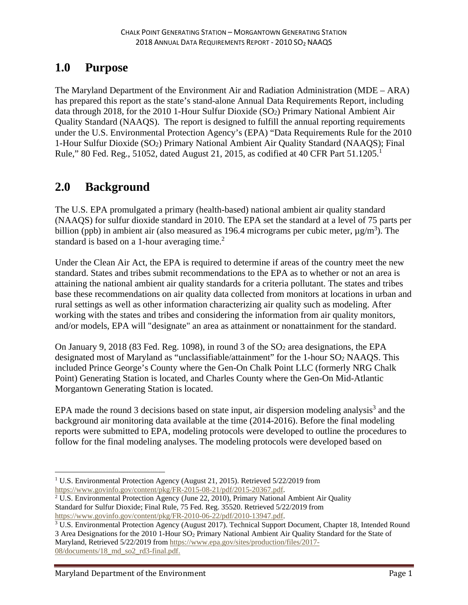#### **1.0 Purpose**

The Maryland Department of the Environment Air and Radiation Administration (MDE – ARA) has prepared this report as the state's stand-alone Annual Data Requirements Report, including data through 2018, for the 2010 1-Hour Sulfur Dioxide (SO2) Primary National Ambient Air Quality Standard (NAAQS). The report is designed to fulfill the annual reporting requirements under the U.S. Environmental Protection Agency's (EPA) "Data Requirements Rule for the 2010 1-Hour Sulfur Dioxide (SO2) Primary National Ambient Air Quality Standard (NAAQS); Final Rule," 80 Fed. Reg., 51052, dated August 21, 2015, as codified at 40 CFR Part  $51.1205$ .<sup>1</sup>

#### **2.0 Background**

The U.S. EPA promulgated a primary (health-based) national ambient air quality standard (NAAQS) for sulfur dioxide standard in 2010. The EPA set the standard at a level of 75 parts per billion (ppb) in ambient air (also measured as 196.4 micrograms per cubic meter,  $\mu$ g/m<sup>3</sup>). The standard is based on a 1-hour averaging time.<sup>2</sup>

Under the Clean Air Act, the EPA is required to determine if areas of the country meet the new standard. States and tribes submit recommendations to the EPA as to whether or not an area is attaining the national ambient air quality standards for a criteria pollutant. The states and tribes base these recommendations on air quality data collected from monitors at locations in urban and rural settings as well as other information characterizing air quality such as modeling. After working with the states and tribes and considering the information from air quality monitors, and/or models, EPA will "designate" an area as attainment or nonattainment for the standard.

On January 9, 2018 (83 Fed. Reg. 1098), in round 3 of the  $SO<sub>2</sub>$  area designations, the EPA designated most of Maryland as "unclassifiable/attainment" for the 1-hour SO2 NAAQS. This included Prince George's County where the Gen-On Chalk Point LLC (formerly NRG Chalk Point) Generating Station is located, and Charles County where the Gen-On Mid-Atlantic Morgantown Generating Station is located.

EPA made the round 3 decisions based on state input, air dispersion modeling analysis<sup>3</sup> and the background air monitoring data available at the time (2014-2016). Before the final modeling reports were submitted to EPA, modeling protocols were developed to outline the procedures to follow for the final modeling analyses. The modeling protocols were developed based on

1

<sup>&</sup>lt;sup>1</sup> U.S. Environmental Protection Agency (August 21, 2015). Retrieved 5/22/2019 from https://www.govinfo.gov/content/pkg/FR-2015-08-21/pdf/2015-20367.pdf. 2

<sup>&</sup>lt;sup>2</sup> U.S. Environmental Protection Agency (June 22, 2010), Primary National Ambient Air Quality Standard for Sulfur Dioxide; Final Rule, 75 Fed. Reg. 35520. Retrieved 5/22/2019 from https://www.govinfo.gov/content/pkg/FR-2010-06-22/pdf/2010-13947.pdf. 3

<sup>&</sup>lt;sup>3</sup> U.S. Environmental Protection Agency (August 2017). Technical Support Document, Chapter 18, Intended Round 3 Area Designations for the 2010 1-Hour SO<sub>2</sub> Primary National Ambient Air Quality Standard for the State of Maryland, Retrieved 5/22/2019 from https://www.epa.gov/sites/production/files/2017-

<sup>08/</sup>documents/18\_md\_so2\_rd3-final.pdf.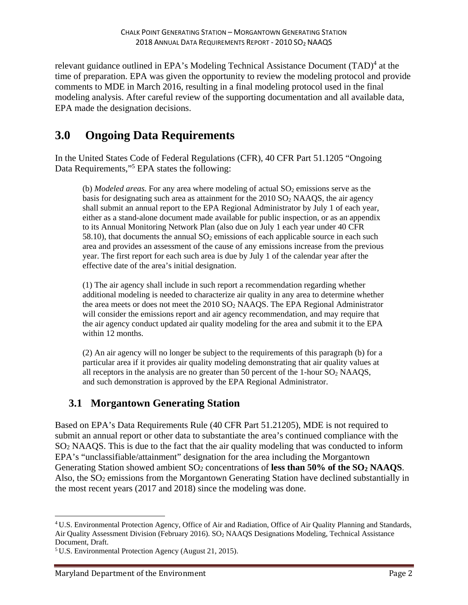relevant guidance outlined in EPA's Modeling Technical Assistance Document (TAD)<sup>4</sup> at the time of preparation. EPA was given the opportunity to review the modeling protocol and provide comments to MDE in March 2016, resulting in a final modeling protocol used in the final modeling analysis. After careful review of the supporting documentation and all available data, EPA made the designation decisions.

#### **3.0 Ongoing Data Requirements**

In the United States Code of Federal Regulations (CFR), 40 CFR Part 51.1205 "Ongoing Data Requirements,"<sup>5</sup> EPA states the following:

(b) *Modeled areas*. For any area where modeling of actual  $SO<sub>2</sub>$  emissions serve as the basis for designating such area as attainment for the  $2010$  SO<sub>2</sub> NAAQS, the air agency shall submit an annual report to the EPA Regional Administrator by July 1 of each year, either as a stand-alone document made available for public inspection, or as an appendix to its Annual Monitoring Network Plan (also due on July 1 each year under 40 CFR 58.10), that documents the annual  $SO_2$  emissions of each applicable source in each such area and provides an assessment of the cause of any emissions increase from the previous year. The first report for each such area is due by July 1 of the calendar year after the effective date of the area's initial designation.

(1) The air agency shall include in such report a recommendation regarding whether additional modeling is needed to characterize air quality in any area to determine whether the area meets or does not meet the 2010 SO2 NAAQS. The EPA Regional Administrator will consider the emissions report and air agency recommendation, and may require that the air agency conduct updated air quality modeling for the area and submit it to the EPA within 12 months.

(2) An air agency will no longer be subject to the requirements of this paragraph (b) for a particular area if it provides air quality modeling demonstrating that air quality values at all receptors in the analysis are no greater than 50 percent of the 1-hour  $SO<sub>2</sub> NAAQS$ , and such demonstration is approved by the EPA Regional Administrator.

#### **3.1 Morgantown Generating Station**

Based on EPA's Data Requirements Rule (40 CFR Part 51.21205), MDE is not required to submit an annual report or other data to substantiate the area's continued compliance with the SO2 NAAQS. This is due to the fact that the air quality modeling that was conducted to inform EPA's "unclassifiable/attainment" designation for the area including the Morgantown Generating Station showed ambient SO<sub>2</sub> concentrations of **less than 50% of the SO<sub>2</sub> NAAQS**. Also, the SO<sub>2</sub> emissions from the Morgantown Generating Station have declined substantially in the most recent years (2017 and 2018) since the modeling was done.

 $\overline{a}$ 

<sup>4</sup> U.S. Environmental Protection Agency, Office of Air and Radiation, Office of Air Quality Planning and Standards, Air Quality Assessment Division (February 2016). SO<sub>2</sub> NAAQS Designations Modeling, Technical Assistance Document, Draft.

<sup>5</sup> U.S. Environmental Protection Agency (August 21, 2015).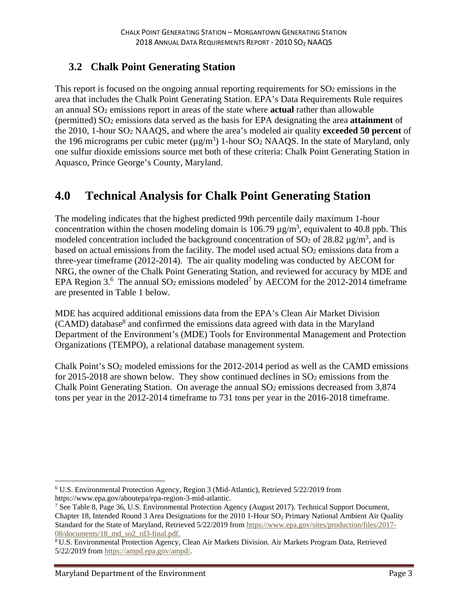#### **3.2 Chalk Point Generating Station**

This report is focused on the ongoing annual reporting requirements for  $SO<sub>2</sub>$  emissions in the area that includes the Chalk Point Generating Station. EPA's Data Requirements Rule requires an annual SO2 emissions report in areas of the state where **actual** rather than allowable (permitted) SO2 emissions data served as the basis for EPA designating the area **attainment** of the 2010, 1-hour SO2 NAAQS, and where the area's modeled air quality **exceeded 50 percent** of the 196 micrograms per cubic meter  $(\mu g/m^3)$  1-hour SO<sub>2</sub> NAAQS. In the state of Maryland, only one sulfur dioxide emissions source met both of these criteria: Chalk Point Generating Station in Aquasco, Prince George's County, Maryland.

#### **4.0 Technical Analysis for Chalk Point Generating Station**

The modeling indicates that the highest predicted 99th percentile daily maximum 1-hour concentration within the chosen modeling domain is 106.79  $\mu$ g/m<sup>3</sup>, equivalent to 40.8 ppb. This modeled concentration included the background concentration of SO<sub>2</sub> of 28.82  $\mu$ g/m<sup>3</sup>, and is based on actual emissions from the facility. The model used actual SO<sub>2</sub> emissions data from a three-year timeframe (2012-2014). The air quality modeling was conducted by AECOM for NRG, the owner of the Chalk Point Generating Station, and reviewed for accuracy by MDE and EPA Region 3.<sup>6</sup> The annual SO<sub>2</sub> emissions modeled<sup>7</sup> by AECOM for the 2012-2014 timeframe are presented in Table 1 below.

MDE has acquired additional emissions data from the EPA's Clean Air Market Division (CAMD) database<sup>8</sup> and confirmed the emissions data agreed with data in the Maryland Department of the Environment's (MDE) Tools for Environmental Management and Protection Organizations (TEMPO), a relational database management system.

Chalk Point's SO2 modeled emissions for the 2012-2014 period as well as the CAMD emissions for 2015-2018 are shown below. They show continued declines in  $SO<sub>2</sub>$  emissions from the Chalk Point Generating Station. On average the annual  $SO<sub>2</sub>$  emissions decreased from 3,874 tons per year in the 2012-2014 timeframe to 731 tons per year in the 2016-2018 timeframe.

 $\overline{a}$ 

<sup>6</sup> U.S. Environmental Protection Agency, Region 3 (Mid-Atlantic), Retrieved 5/22/2019 from https://www.epa.gov/aboutepa/epa-region-3-mid-atlantic. 7

<sup>&</sup>lt;sup>7</sup> See Table 8, Page 36, U.S. Environmental Protection Agency (August 2017). Technical Support Document, Chapter 18, Intended Round 3 Area Designations for the 2010 1-Hour SO<sub>2</sub> Primary National Ambient Air Quality Standard for the State of Maryland, Retrieved 5/22/2019 from https://www.epa.gov/sites/production/files/2017- 08/documents/18\_md\_so2\_rd3-final.pdf.

<sup>8</sup> U.S. Environmental Protection Agency, Clean Air Markets Division. Air Markets Program Data, Retrieved 5/22/2019 from https://ampd.epa.gov/ampd/.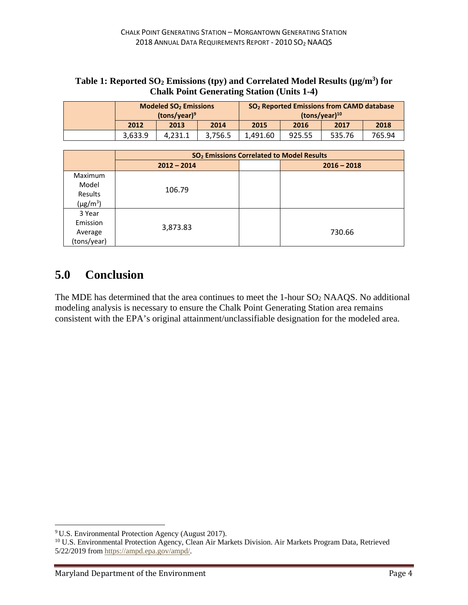|  | <b>Modeled SO<sub>2</sub></b> Emissions<br>$(tons/year)^9$ |         |         | SO <sub>2</sub> Reported Emissions from CAMD database<br>$(tons/year)^{10}$ |        |        |        |  |
|--|------------------------------------------------------------|---------|---------|-----------------------------------------------------------------------------|--------|--------|--------|--|
|  | 2012                                                       | 2013    | 2014    | 2015                                                                        | 2016   | 2017   | 2018   |  |
|  | 3.633.9                                                    | 4.231.1 | 3,756.5 | 1.491.60                                                                    | 925.55 | 535.76 | 765.94 |  |

| Table 1: Reported SO <sub>2</sub> Emissions (tpy) and Correlated Model Results ( $\mu$ g/m <sup>3</sup> ) for |
|---------------------------------------------------------------------------------------------------------------|
| <b>Chalk Point Generating Station (Units 1-4)</b>                                                             |

|                | SO <sub>2</sub> Emissions Correlated to Model Results |               |  |  |  |
|----------------|-------------------------------------------------------|---------------|--|--|--|
|                | $2012 - 2014$                                         | $2016 - 2018$ |  |  |  |
| <b>Maximum</b> |                                                       |               |  |  |  |
| Model          |                                                       |               |  |  |  |
| Results        | 106.79                                                |               |  |  |  |
| $(\mu g/m^3)$  |                                                       |               |  |  |  |
| 3 Year         |                                                       |               |  |  |  |
| Emission       |                                                       |               |  |  |  |
| Average        | 3,873.83                                              | 730.66        |  |  |  |
| (tons/year)    |                                                       |               |  |  |  |

#### **5.0 Conclusion**

The MDE has determined that the area continues to meet the 1-hour SO2 NAAQS. No additional modeling analysis is necessary to ensure the Chalk Point Generating Station area remains consistent with the EPA's original attainment/unclassifiable designation for the modeled area.

 $\overline{a}$ 

<sup>9</sup> U.S. Environmental Protection Agency (August 2017).

<sup>&</sup>lt;sup>10</sup> U.S. Environmental Protection Agency, Clean Air Markets Division. Air Markets Program Data, Retrieved 5/22/2019 from https://ampd.epa.gov/ampd/.